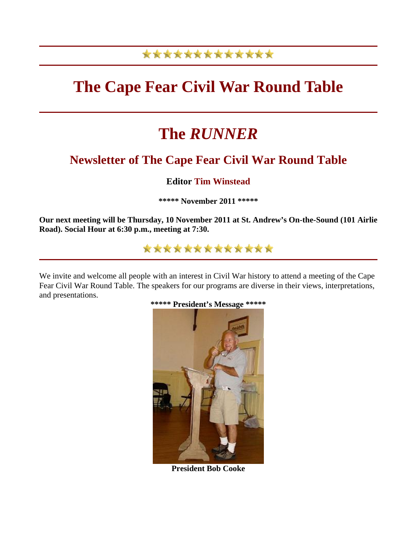# \*\*\*\*\*\*\*\*\*\*\*\*\*

# **The Cape Fear Civil War Round Table**

# **The** *RUNNER*

# **Newsletter of The Cape Fear Civil War Round Table**

# **Editor Tim Winstead**

**\*\*\*\*\* November 2011 \*\*\*\*\*** 

**Our next meeting will be Thursday, 10 November 2011 at St. Andrew's On-the-Sound (101 Airlie Road). Social Hour at 6:30 p.m., meeting at 7:30.**

# \*\*\*\*\*\*\*\*\*\*\*\*\*

We invite and welcome all people with an interest in Civil War history to attend a meeting of the Cape Fear Civil War Round Table. The speakers for our programs are diverse in their views, interpretations, and presentations.



**President Bob Cooke**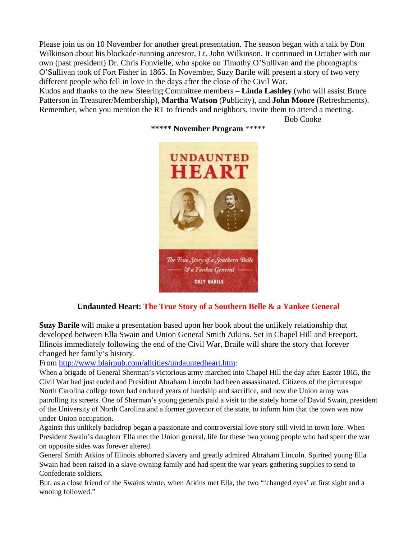Please join us on 10 November for another great presentation. The season began with a talk by Don Wilkinson about his blockade-running ancestor, Lt. John Wilkinson. It continued in October with our own (past president) Dr. Chris Fonvielle, who spoke on Timothy O'Sullivan and the photographs O'Sullivan took of Fort Fisher in 1865. In November, Suzy Barile will present a story of two very different people who fell in love in the days after the close of the Civil War.

Kudos and thanks to the new Steering Committee members – **Linda Lashley** (who will assist Bruce Patterson in Treasurer/Membership), **Martha Watson** (Publicity), and **John Moore** (Refreshments). Remember, when you mention the RT to friends and neighbors, invite them to attend a meeting.

Bob Cooke



#### **\*\*\*\*\* November Program** \*\*\*\*\*

## **Undaunted Heart: The True Story of a Southern Belle & a Yankee General**

**Suzy Barile** will make a presentation based upon her book about the unlikely relationship that developed between Ella Swain and Union General Smith Atkins. Set in Chapel Hill and Freeport, Illinois immediately following the end of the Civil War, Braile will share the story that forever changed her family's history.

From [http://www.blairpub.com/alltitles/undauntedheart.htm:](http://www.blairpub.com/alltitles/undauntedheart.htm)

When a brigade of General Sherman's victorious army marched into Chapel Hill the day after Easter 1865, the Civil War had just ended and President Abraham Lincoln had been assassinated. Citizens of the picturesque North Carolina college town had endured years of hardship and sacrifice, and now the Union army was patrolling its streets. One of Sherman's young generals paid a visit to the stately home of David Swain, president of the University of North Carolina and a former governor of the state, to inform him that the town was now under Union occupation.

Against this unlikely backdrop began a passionate and controversial love story still vivid in town lore. When President Swain's daughter Ella met the Union general, life for these two young people who had spent the war on opposite sides was forever altered.

General Smith Atkins of Illinois abhorred slavery and greatly admired Abraham Lincoln. Spirited young Ella Swain had been raised in a slave-owning family and had spent the war years gathering supplies to send to Confederate soldiers.

But, as a close friend of the Swains wrote, when Atkins met Ella, the two "'changed eyes' at first sight and a wooing followed."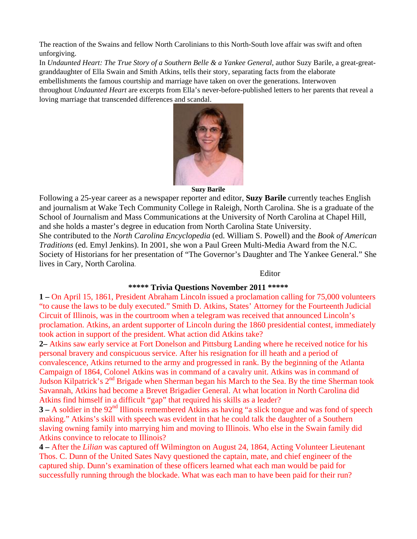The reaction of the Swains and fellow North Carolinians to this North-South love affair was swift and often unforgiving.

In *Undaunted Heart: The True Story of a Southern Belle & a Yankee General*, author Suzy Barile, a great-greatgranddaughter of Ella Swain and Smith Atkins, tells their story, separating facts from the elaborate embellishments the famous courtship and marriage have taken on over the generations. Interwoven throughout *Undaunted Heart* are excerpts from Ella's never-before-published letters to her parents that reveal a loving marriage that transcended differences and scandal.



#### **Suzy Barile**

Following a 25-year career as a newspaper reporter and editor, **Suzy Barile** currently teaches English and journalism at Wake Tech Community College in Raleigh, North Carolina. She is a graduate of the School of Journalism and Mass Communications at the University of North Carolina at Chapel Hill, and she holds a master's degree in education from North Carolina State University. She contributed to the *North Carolina Encyclopedia* (ed. William S. Powell) and the *Book of American Traditions* (ed. Emyl Jenkins). In 2001, she won a Paul Green Multi-Media Award from the N.C. Society of Historians for her presentation of "The Governor's Daughter and The Yankee General." She lives in Cary, North Carolina.

#### Editor

## **\*\*\*\*\* Trivia Questions November 2011 \*\*\*\*\***

**1 –** On April 15, 1861, President Abraham Lincoln issued a proclamation calling for 75,000 volunteers "to cause the laws to be duly executed." Smith D. Atkins, States' Attorney for the Fourteenth Judicial Circuit of Illinois, was in the courtroom when a telegram was received that announced Lincoln's proclamation. Atkins, an ardent supporter of Lincoln during the 1860 presidential contest, immediately took action in support of the president. What action did Atkins take?

**2–** Atkins saw early service at Fort Donelson and Pittsburg Landing where he received notice for his personal bravery and conspicuous service. After his resignation for ill heath and a period of convalescence, Atkins returned to the army and progressed in rank. By the beginning of the Atlanta Campaign of 1864, Colonel Atkins was in command of a cavalry unit. Atkins was in command of Judson Kilpatrick's 2<sup>nd</sup> Brigade when Sherman began his March to the Sea. By the time Sherman took Savannah, Atkins had become a Brevet Brigadier General. At what location in North Carolina did Atkins find himself in a difficult "gap" that required his skills as a leader?

**3** – A soldier in the 92<sup>nd</sup> Illinois remembered Atkins as having "a slick tongue and was fond of speech making." Atkins's skill with speech was evident in that he could talk the daughter of a Southern slaving owning family into marrying him and moving to Illinois. Who else in the Swain family did Atkins convince to relocate to Illinois?

**4 –** After the *Lilian* was captured off Wilmington on August 24, 1864, Acting Volunteer Lieutenant Thos. C. Dunn of the United Sates Navy questioned the captain, mate, and chief engineer of the captured ship. Dunn's examination of these officers learned what each man would be paid for successfully running through the blockade. What was each man to have been paid for their run?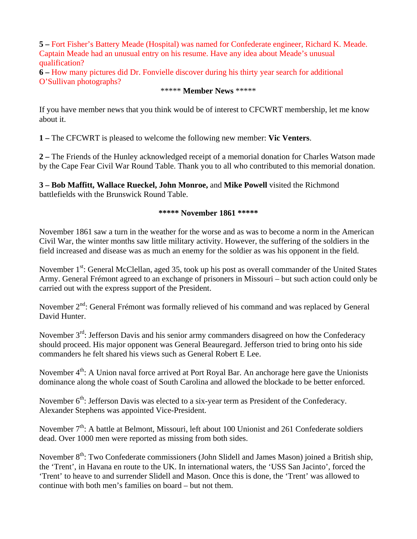**5 –** Fort Fisher's Battery Meade (Hospital) was named for Confederate engineer, Richard K. Meade. Captain Meade had an unusual entry on his resume. Have any idea about Meade's unusual qualification?

**6 –** How many pictures did Dr. Fonvielle discover during his thirty year search for additional O'Sullivan photographs?

# \*\*\*\*\* **Member News** \*\*\*\*\*

If you have member news that you think would be of interest to CFCWRT membership, let me know about it.

**1 –** The CFCWRT is pleased to welcome the following new member: **Vic Venters**.

**2 –** The Friends of the Hunley acknowledged receipt of a memorial donation for Charles Watson made by the Cape Fear Civil War Round Table. Thank you to all who contributed to this memorial donation.

**3 – Bob Maffitt, Wallace Rueckel, John Monroe,** and **Mike Powell** visited the Richmond battlefields with the Brunswick Round Table.

#### **\*\*\*\*\* November 1861 \*\*\*\*\***

November 1861 saw a turn in the weather for the worse and as was to become a norm in the American Civil War, the winter months saw little military activity. However, the suffering of the soldiers in the field increased and disease was as much an enemy for the soldier as was his opponent in the field.

November 1<sup>st</sup>: General McClellan, aged 35, took up his post as overall commander of the United States Army. General Frémont agreed to an exchange of prisoners in Missouri – but such action could only be carried out with the express support of the President.

November  $2<sup>nd</sup>$ : General Frémont was formally relieved of his command and was replaced by General David Hunter.

November 3<sup>rd</sup>: Jefferson Davis and his senior army commanders disagreed on how the Confederacy should proceed. His major opponent was General Beauregard. Jefferson tried to bring onto his side commanders he felt shared his views such as General Robert E Lee.

November  $4<sup>th</sup>$ : A Union naval force arrived at Port Royal Bar. An anchorage here gave the Unionists dominance along the whole coast of South Carolina and allowed the blockade to be better enforced.

November 6<sup>th</sup>: Jefferson Davis was elected to a six-year term as President of the Confederacy. Alexander Stephens was appointed Vice-President.

November  $7<sup>th</sup>$ : A battle at Belmont, Missouri, left about 100 Unionist and 261 Confederate soldiers dead. Over 1000 men were reported as missing from both sides.

November  $8<sup>th</sup>$ : Two Confederate commissioners (John Slidell and James Mason) joined a British ship, the 'Trent', in Havana en route to the UK. In international waters, the 'USS San Jacinto', forced the 'Trent' to heave to and surrender Slidell and Mason. Once this is done, the 'Trent' was allowed to continue with both men's families on board – but not them.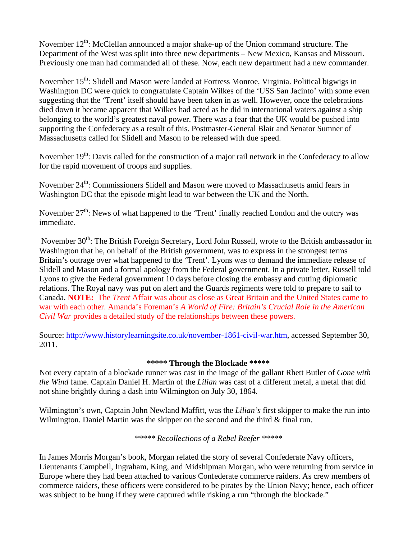November  $12^{th}$ : McClellan announced a major shake-up of the Union command structure. The Department of the West was split into three new departments – New Mexico, Kansas and Missouri. Previously one man had commanded all of these. Now, each new department had a new commander.

November 15<sup>th</sup>: Slidell and Mason were landed at Fortress Monroe, Virginia. Political bigwigs in Washington DC were quick to congratulate Captain Wilkes of the 'USS San Jacinto' with some even suggesting that the 'Trent' itself should have been taken in as well. However, once the celebrations died down it became apparent that Wilkes had acted as he did in international waters against a ship belonging to the world's greatest naval power. There was a fear that the UK would be pushed into supporting the Confederacy as a result of this. Postmaster-General Blair and Senator Sumner of Massachusetts called for Slidell and Mason to be released with due speed.

November  $19<sup>th</sup>$ : Davis called for the construction of a major rail network in the Confederacy to allow for the rapid movement of troops and supplies.

November 24<sup>th</sup>: Commissioners Slidell and Mason were moved to Massachusetts amid fears in Washington DC that the episode might lead to war between the UK and the North.

November  $27<sup>th</sup>$ : News of what happened to the 'Trent' finally reached London and the outcry was immediate.

November 30<sup>th</sup>: The British Foreign Secretary, Lord John Russell, wrote to the British ambassador in Washington that he, on behalf of the British government, was to express in the strongest terms Britain's outrage over what happened to the 'Trent'. Lyons was to demand the immediate release of Slidell and Mason and a formal apology from the Federal government. In a private letter, Russell told Lyons to give the Federal government 10 days before closing the embassy and cutting diplomatic relations. The Royal navy was put on alert and the Guards regiments were told to prepare to sail to Canada. **NOTE:** The *Trent* Affair was about as close as Great Britain and the United States came to war with each other. Amanda's Foreman's *A World of Fire: Britain's Crucial Role in the American Civil War* provides a detailed study of the relationships between these powers.

Source: [http://www.historylearningsite.co.uk/november-1861-civil-war.htm,](http://www.historylearningsite.co.uk/november-1861-civil-war.htm) accessed September 30, 2011.

# **\*\*\*\*\* Through the Blockade \*\*\*\*\***

Not every captain of a blockade runner was cast in the image of the gallant Rhett Butler of *Gone with the Wind* fame. Captain Daniel H. Martin of the *Lilian* was cast of a different metal, a metal that did not shine brightly during a dash into Wilmington on July 30, 1864.

Wilmington's own, Captain John Newland Maffitt, was the *Lilian's* first skipper to make the run into Wilmington. Daniel Martin was the skipper on the second and the third & final run.

*\*\*\*\*\* Recollections of a Rebel Reefer \*\*\*\*\**

In James Morris Morgan's book, Morgan related the story of several Confederate Navy officers, Lieutenants Campbell, Ingraham, King, and Midshipman Morgan, who were returning from service in Europe where they had been attached to various Confederate commerce raiders. As crew members of commerce raiders, these officers were considered to be pirates by the Union Navy; hence, each officer was subject to be hung if they were captured while risking a run "through the blockade."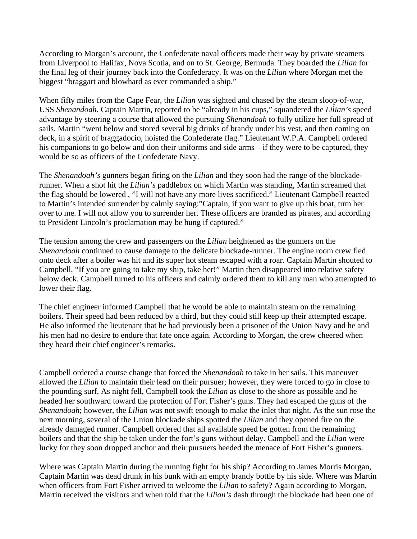According to Morgan's account, the Confederate naval officers made their way by private steamers from Liverpool to Halifax, Nova Scotia, and on to St. George, Bermuda. They boarded the *Lilian* for the final leg of their journey back into the Confederacy. It was on the *Lilian* where Morgan met the biggest "braggart and blowhard as ever commanded a ship."

When fifty miles from the Cape Fear, the *Lilian* was sighted and chased by the steam sloop-of-war, USS *Shenandoah.* Captain Martin, reported to be "already in his cups," squandered the *Lilian's* speed advantage by steering a course that allowed the pursuing *Shenandoah* to fully utilize her full spread of sails. Martin "went below and stored several big drinks of brandy under his vest, and then coming on deck, in a spirit of braggadocio, hoisted the Confederate flag." Lieutenant W.P.A. Campbell ordered his companions to go below and don their uniforms and side arms – if they were to be captured, they would be so as officers of the Confederate Navy.

The *Shenandoah's* gunners began firing on the *Lilian* and they soon had the range of the blockaderunner. When a shot hit the *Lilian's* paddlebox on which Martin was standing, Martin screamed that the flag should be lowered , "I will not have any more lives sacrificed." Lieutenant Campbell reacted to Martin's intended surrender by calmly saying:"Captain, if you want to give up this boat, turn her over to me. I will not allow you to surrender her. These officers are branded as pirates, and according to President Lincoln's proclamation may be hung if captured."

The tension among the crew and passengers on the *Lilian* heightened as the gunners on the *Shenandoah* continued to cause damage to the delicate blockade-runner. The engine room crew fled onto deck after a boiler was hit and its super hot steam escaped with a roar. Captain Martin shouted to Campbell, "If you are going to take my ship, take her!" Martin then disappeared into relative safety below deck. Campbell turned to his officers and calmly ordered them to kill any man who attempted to lower their flag.

The chief engineer informed Campbell that he would be able to maintain steam on the remaining boilers. Their speed had been reduced by a third, but they could still keep up their attempted escape. He also informed the lieutenant that he had previously been a prisoner of the Union Navy and he and his men had no desire to endure that fate once again. According to Morgan, the crew cheered when they heard their chief engineer's remarks.

Campbell ordered a course change that forced the *Shenandoah* to take in her sails. This maneuver allowed the *Lilian* to maintain their lead on their pursuer; however, they were forced to go in close to the pounding surf. As night fell, Campbell took the *Lilian* as close to the shore as possible and he headed her southward toward the protection of Fort Fisher's guns. They had escaped the guns of the *Shenandoah*; however, the *Lilian* was not swift enough to make the inlet that night*.* As the sun rose the next morning, several of the Union blockade ships spotted the *Lilian* and they opened fire on the already damaged runner. Campbell ordered that all available speed be gotten from the remaining boilers and that the ship be taken under the fort's guns without delay. Campbell and the *Lilian* were lucky for they soon dropped anchor and their pursuers heeded the menace of Fort Fisher's gunners.

Where was Captain Martin during the running fight for his ship? According to James Morris Morgan, Captain Martin was dead drunk in his bunk with an empty brandy bottle by his side. Where was Martin when officers from Fort Fisher arrived to welcome the *Lilian* to safety? Again according to Morgan, Martin received the visitors and when told that the *Lilian's* dash through the blockade had been one of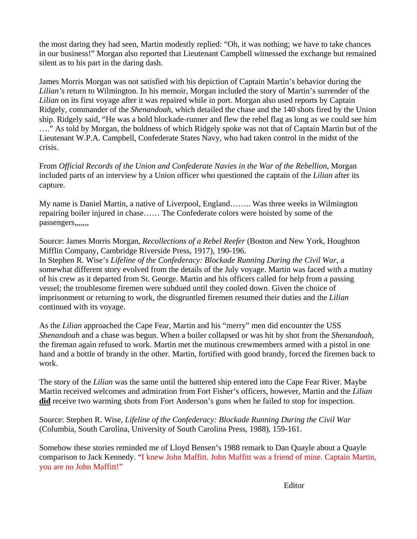the most daring they had seen, Martin modestly replied: "Oh, it was nothing; we have to take chances in our business!" Morgan also reported that Lieutenant Campbell witnessed the exchange but remained silent as to his part in the daring dash.

James Morris Morgan was not satisfied with his depiction of Captain Martin's behavior during the *Lilian's* return to Wilmington. In his memoir, Morgan included the story of Martin's surrender of the *Lilian* on its first voyage after it was repaired while in port. Morgan also used reports by Captain Ridgely, commander of the *Shenandoah*, which detailed the chase and the 140 shots fired by the Union ship. Ridgely said, "He was a bold blockade-runner and flew the rebel flag as long as we could see him …." As told by Morgan, the boldness of which Ridgely spoke was not that of Captain Martin but of the Lieutenant W.P.A. Campbell, Confederate States Navy, who had taken control in the midst of the crisis.

From *Official Records of the Union and Confederate Navies in the War of the Rebellion*, Morgan included parts of an interview by a Union officer who questioned the captain of the *Lilian* after its capture*.*

My name is Daniel Martin, a native of Liverpool, England…….. Was three weeks in Wilmington repairing boiler injured in chase…… The Confederate colors were hoisted by some of the passengers,,,,,,,

Source: James Morris Morgan, *Recollections of a Rebel Reefer* (Boston and New York, Houghton Mifflin Company, Cambridge Riverside Press, 1917), 190-196.

In Stephen R. Wise's *Lifeline of the Confederacy: Blockade Running During the Civil War,* a somewhat different story evolved from the details of the July voyage. Martin was faced with a mutiny of his crew as it departed from St. George. Martin and his officers called for help from a passing vessel; the troublesome firemen were subdued until they cooled down. Given the choice of imprisonment or returning to work, the disgruntled firemen resumed their duties and the *Lilian*  continued with its voyage.

As the *Lilian* approached the Cape Fear, Martin and his "merry" men did encounter the USS *Shenandoah* and a chase was begun. When a boiler collapsed or was hit by shot from the *Shenandoah*, the fireman again refused to work. Martin met the mutinous crewmembers armed with a pistol in one hand and a bottle of brandy in the other. Martin, fortified with good brandy, forced the firemen back to work.

The story of the *Lilian* was the same until the battered ship entered into the Cape Fear River. Maybe Martin received welcomes and admiration from Fort Fisher's officers, however, Martin and the *Lilian* **did** receive two warming shots from Fort Anderson's guns when he failed to stop for inspection.

Source: Stephen R. Wise, *Lifeline of the Confederacy: Blockade Running During the Civil War* (Columbia, South Carolina, University of South Carolina Press, 1988), 159-161.

Somehow these stories reminded me of Lloyd Bensen's 1988 remark to Dan Quayle about a Quayle comparison to Jack Kennedy. "I knew John Maffitt. John Maffitt was a friend of mine. Captain Martin, you are no John Maffitt!"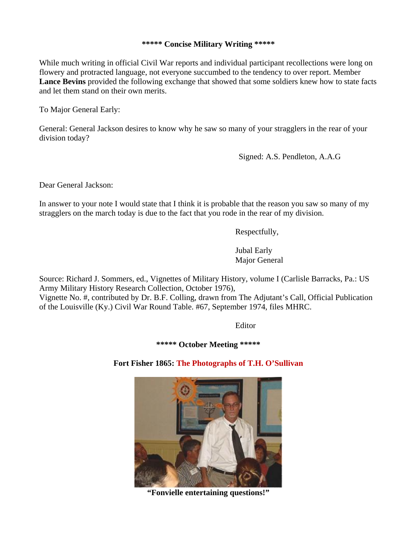## **\*\*\*\*\* Concise Military Writing \*\*\*\*\***

While much writing in official Civil War reports and individual participant recollections were long on flowery and protracted language, not everyone succumbed to the tendency to over report. Member **Lance Bevins** provided the following exchange that showed that some soldiers knew how to state facts and let them stand on their own merits.

To Major General Early:

General: General Jackson desires to know why he saw so many of your stragglers in the rear of your division today?

Signed: A.S. Pendleton, A.A.G

Dear General Jackson:

In answer to your note I would state that I think it is probable that the reason you saw so many of my stragglers on the march today is due to the fact that you rode in the rear of my division.

Respectfully,

Jubal Early Major General

Source: Richard J. Sommers, ed., Vignettes of Military History, volume I (Carlisle Barracks, Pa.: US Army Military History Research Collection, October 1976),

Vignette No. #, contributed by Dr. B.F. Colling, drawn from The Adjutant's Call, Official Publication of the Louisville (Ky.) Civil War Round Table. #67, September 1974, files MHRC.

Editor

**\*\*\*\*\* October Meeting \*\*\*\*\***

**Fort Fisher 1865: The Photographs of T.H. O'Sullivan**



**"Fonvielle entertaining questions!"**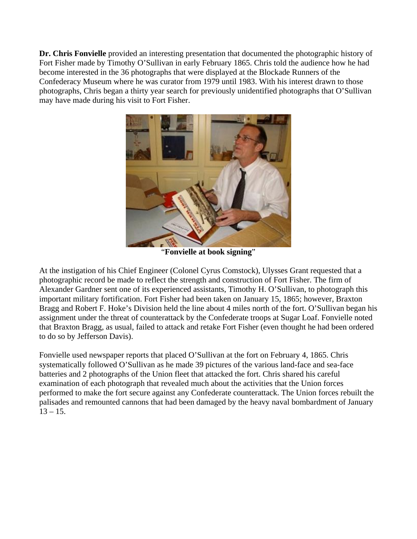**Dr. Chris Fonvielle** provided an interesting presentation that documented the photographic history of Fort Fisher made by Timothy O'Sullivan in early February 1865. Chris told the audience how he had become interested in the 36 photographs that were displayed at the Blockade Runners of the Confederacy Museum where he was curator from 1979 until 1983. With his interest drawn to those photographs, Chris began a thirty year search for previously unidentified photographs that O'Sullivan may have made during his visit to Fort Fisher.



"**Fonvielle at book signing**"

At the instigation of his Chief Engineer (Colonel Cyrus Comstock), Ulysses Grant requested that a photographic record be made to reflect the strength and construction of Fort Fisher. The firm of Alexander Gardner sent one of its experienced assistants, Timothy H. O'Sullivan, to photograph this important military fortification. Fort Fisher had been taken on January 15, 1865; however, Braxton Bragg and Robert F. Hoke's Division held the line about 4 miles north of the fort. O'Sullivan began his assignment under the threat of counterattack by the Confederate troops at Sugar Loaf. Fonvielle noted that Braxton Bragg, as usual, failed to attack and retake Fort Fisher (even thought he had been ordered to do so by Jefferson Davis).

Fonvielle used newspaper reports that placed O'Sullivan at the fort on February 4, 1865. Chris systematically followed O'Sullivan as he made 39 pictures of the various land-face and sea-face batteries and 2 photographs of the Union fleet that attacked the fort. Chris shared his careful examination of each photograph that revealed much about the activities that the Union forces performed to make the fort secure against any Confederate counterattack. The Union forces rebuilt the palisades and remounted cannons that had been damaged by the heavy naval bombardment of January  $13 - 15$ .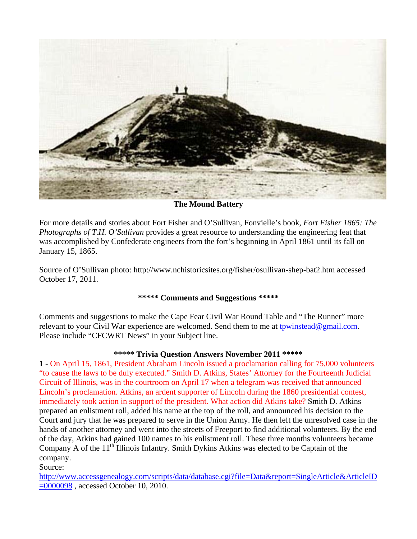

**The Mound Battery** 

For more details and stories about Fort Fisher and O'Sullivan, Fonvielle's book, *Fort Fisher 1865: The Photographs of T.H. O'Sullivan* provides a great resource to understanding the engineering feat that was accomplished by Confederate engineers from the fort's beginning in April 1861 until its fall on January 15, 1865.

Source of O'Sullivan photo: http://www.nchistoricsites.org/fisher/osullivan-shep-bat2.htm accessed October 17, 2011.

## **\*\*\*\*\* Comments and Suggestions \*\*\*\*\***

Comments and suggestions to make the Cape Fear Civil War Round Table and "The Runner" more relevant to your Civil War experience are welcomed. Send them to me at [tpwinstead@gmail.com.](mailto:tpwinstead@gmail.com) Please include "CFCWRT News" in your Subject line.

# **\*\*\*\*\* Trivia Question Answers November 2011 \*\*\*\*\***

**1 -** On April 15, 1861, President Abraham Lincoln issued a proclamation calling for 75,000 volunteers "to cause the laws to be duly executed." Smith D. Atkins, States' Attorney for the Fourteenth Judicial Circuit of Illinois, was in the courtroom on April 17 when a telegram was received that announced Lincoln's proclamation. Atkins, an ardent supporter of Lincoln during the 1860 presidential contest, immediately took action in support of the president. What action did Atkins take? Smith D. Atkins prepared an enlistment roll, added his name at the top of the roll, and announced his decision to the Court and jury that he was prepared to serve in the Union Army. He then left the unresolved case in the hands of another attorney and went into the streets of Freeport to find additional volunteers. By the end of the day, Atkins had gained 100 names to his enlistment roll. These three months volunteers became Company A of the 11<sup>th</sup> Illinois Infantry. Smith Dykins Atkins was elected to be Captain of the company.

Source:

[http://www.accessgenealogy.com/scripts/data/database.cgi?file=Data&report=SingleArticle&ArticleID](http://www.accessgenealogy.com/scripts/data/database.cgi?file=Data&report=SingleArticle&ArticleID=0000098)  $=0000098$ , accessed October 10, 2010.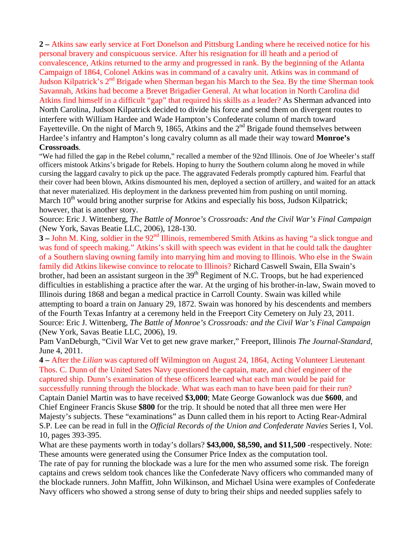**2 –** Atkins saw early service at Fort Donelson and Pittsburg Landing where he received notice for his personal bravery and conspicuous service. After his resignation for ill heath and a period of convalescence, Atkins returned to the army and progressed in rank. By the beginning of the Atlanta Campaign of 1864, Colonel Atkins was in command of a cavalry unit. Atkins was in command of Judson Kilpatrick's 2nd Brigade when Sherman began his March to the Sea. By the time Sherman took Savannah, Atkins had become a Brevet Brigadier General. At what location in North Carolina did Atkins find himself in a difficult "gap" that required his skills as a leader? As Sherman advanced into North Carolina, Judson Kilpatrick decided to divide his force and send them on divergent routes to interfere with William Hardee and Wade Hampton's Confederate column of march toward Fayetteville. On the night of March 9, 1865, Atkins and the  $2<sup>nd</sup>$  Brigade found themselves between Hardee's infantry and Hampton's long cavalry column as all made their way toward **Monroe's Crossroads**.

### "We had filled the gap in the Rebel column," recalled a member of the 92nd Illinois. One of Joe Wheeler's staff officers mistook Atkins's brigade for Rebels. Hoping to hurry the Southern column along he moved in while cursing the laggard cavalry to pick up the pace. The aggravated Federals promptly captured him. Fearful that their cover had been blown, Atkins dismounted his men, deployed a section of artillery, and waited for an attack that never materialized. His deployment in the darkness prevented him from pushing on until morning. March  $10<sup>th</sup>$  would bring another surprise for Atkins and especially his boss, Judson Kilpatrick; however, that is another story.

Source: Eric J. Wittenberg, *The Battle of Monroe's Crossroads: And the Civil War's Final Campaign* (New York, Savas Beatie LLC, 2006), 128-130.

**3** – John M. King, soldier in the 92<sup>nd</sup> Illinois, remembered Smith Atkins as having "a slick tongue and was fond of speech making." Atkins's skill with speech was evident in that he could talk the daughter of a Southern slaving owning family into marrying him and moving to Illinois. Who else in the Swain family did Atkins likewise convince to relocate to Illinois? Richard Caswell Swain, Ella Swain's brother, had been an assistant surgeon in the 39<sup>th</sup> Regiment of N.C. Troops, but he had experienced difficulties in establishing a practice after the war. At the urging of his brother-in-law, Swain moved to Illinois during 1868 and began a medical practice in Carroll County. Swain was killed while attempting to board a train on January 29, 1872. Swain was honored by his descendents and members of the Fourth Texas Infantry at a ceremony held in the Freeport City Cemetery on July 23, 2011. Source: Eric J. Wittenberg, *The Battle of Monroe's Crossroads: and the Civil War's Final Campaign* (New York, Savas Beatie LLC, 2006), 19.

Pam VanDeburgh, "Civil War Vet to get new grave marker," Freeport, Illinois *The Journal-Standard,*  June 4, 2011.

**4 –** After the *Lilian* was captured off Wilmington on August 24, 1864, Acting Volunteer Lieutenant Thos. C. Dunn of the United Sates Navy questioned the captain, mate, and chief engineer of the captured ship. Dunn's examination of these officers learned what each man would be paid for successfully running through the blockade. What was each man to have been paid for their run?

Captain Daniel Martin was to have received **\$3,000**; Mate George Gowanlock was due **\$600**, and Chief Engineer Francis Skuse **\$800** for the trip. It should be noted that all three men were Her Majesty's subjects. These "examinations" as Dunn called them in his report to Acting Rear-Admiral S.P. Lee can be read in full in the *Official Records of the Union and Confederate Navies* Series I, Vol. 10, pages 393-395.

What are these payments worth in today's dollars? **\$43,000, \$8,590, and \$11,500** -respectively. Note: These amounts were generated using the Consumer Price Index as the computation tool.

The rate of pay for running the blockade was a lure for the men who assumed some risk. The foreign captains and crews seldom took chances like the Confederate Navy officers who commanded many of the blockade runners. John Maffitt, John Wilkinson, and Michael Usina were examples of Confederate Navy officers who showed a strong sense of duty to bring their ships and needed supplies safely to